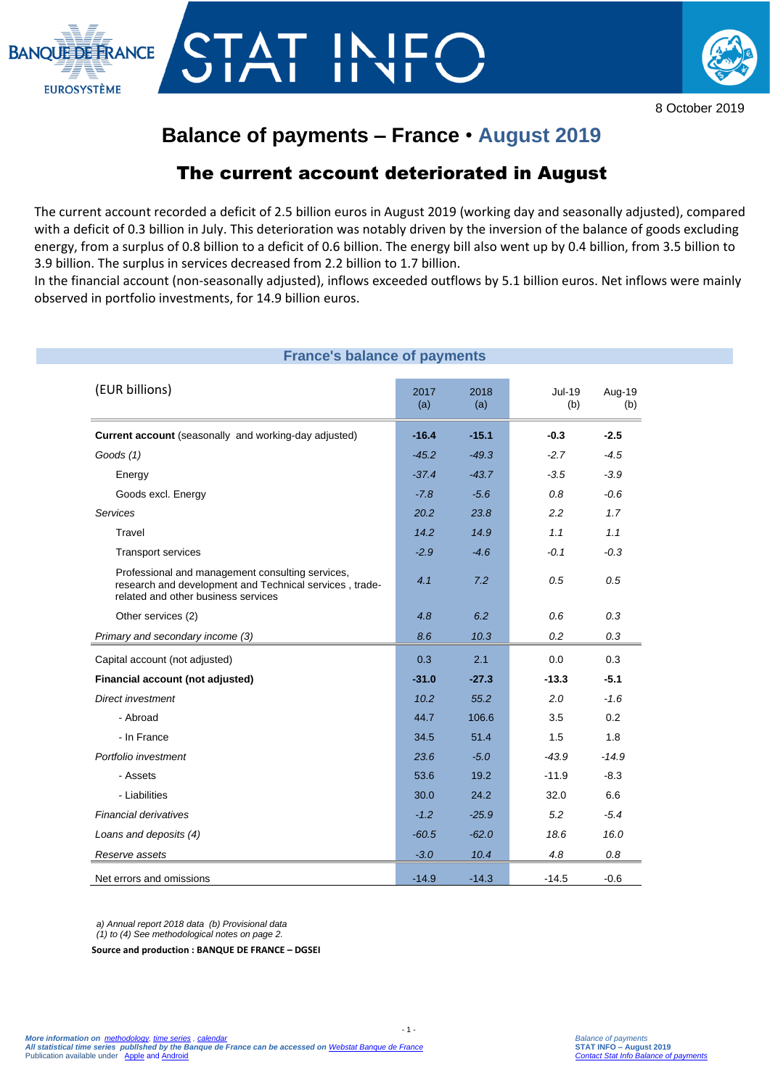



8 October 2019

# **Balance of payments – France** • **August 2019**

## The current account deteriorated in August

The current account recorded a deficit of 2.5 billion euros in August 2019 (working day and seasonally adjusted), compared with a deficit of 0.3 billion in July. This deterioration was notably driven by the inversion of the balance of goods excluding energy, from a surplus of 0.8 billion to a deficit of 0.6 billion. The energy bill also went up by 0.4 billion, from 3.5 billion to 3.9 billion. The surplus in services decreased from 2.2 billion to 1.7 billion.

In the financial account (non-seasonally adjusted), inflows exceeded outflows by 5.1 billion euros. Net inflows were mainly observed in portfolio investments, for 14.9 billion euros.

| <b>France's balance of payments</b>                                                                                                                |             |             |               |         |
|----------------------------------------------------------------------------------------------------------------------------------------------------|-------------|-------------|---------------|---------|
| (EUR billions)                                                                                                                                     | 2017<br>(a) | 2018<br>(a) | Jul-19<br>(b) | Aug-19  |
| Current account (seasonally and working-day adjusted)                                                                                              | $-16.4$     | $-15.1$     | $-0.3$        | $-2.5$  |
| Goods $(1)$                                                                                                                                        | $-45.2$     | $-49.3$     | $-2.7$        | $-4.5$  |
| Energy                                                                                                                                             | $-37.4$     | $-43.7$     | $-3.5$        | $-3.9$  |
| Goods excl. Energy                                                                                                                                 | $-7.8$      | $-5.6$      | 0.8           | $-0.6$  |
| <b>Services</b>                                                                                                                                    | 20.2        | 23.8        | 2.2           | 1.7     |
| Travel                                                                                                                                             | 14.2        | 14.9        | 1.1           | 1.1     |
| <b>Transport services</b>                                                                                                                          | $-2.9$      | $-4.6$      | $-0.1$        | $-0.3$  |
| Professional and management consulting services,<br>research and development and Technical services, trade-<br>related and other business services | 4.1         | 7.2         | 0.5           | 0.5     |
| Other services (2)                                                                                                                                 | 4.8         | 6.2         | 0.6           | 0.3     |
| Primary and secondary income (3)                                                                                                                   | 8.6         | 10.3        | 0.2           | 0.3     |
| Capital account (not adjusted)                                                                                                                     | 0.3         | 2.1         | 0.0           | 0.3     |
| Financial account (not adjusted)                                                                                                                   | $-31.0$     | $-27.3$     | $-13.3$       | $-5.1$  |
| <b>Direct investment</b>                                                                                                                           | 10.2        | 55.2        | 2.0           | $-1.6$  |
| - Abroad                                                                                                                                           | 44.7        | 106.6       | 3.5           | 0.2     |
| - In France                                                                                                                                        | 34.5        | 51.4        | 1.5           | 1.8     |
| Portfolio investment                                                                                                                               | 23.6        | $-5.0$      | $-43.9$       | $-14.9$ |
| - Assets                                                                                                                                           | 53.6        | 19.2        | $-11.9$       | $-8.3$  |
| - Liabilities                                                                                                                                      | 30.0        | 24.2        | 32.0          | 6.6     |
| <b>Financial derivatives</b>                                                                                                                       | $-1.2$      | $-25.9$     | 5.2           | $-5.4$  |
| Loans and deposits (4)                                                                                                                             | $-60.5$     | $-62.0$     | 18.6          | 16.0    |
| Reserve assets                                                                                                                                     | $-3.0$      | 10.4        | 4.8           | 0.8     |
| Net errors and omissions                                                                                                                           | $-14.9$     | $-14.3$     | $-14.5$       | $-0.6$  |

 $- 1 -$ 

*a) Annual report 2018 data (b) Provisional data (1) to (4) See methodological notes on page 2.*

**Source and production : BANQUE DE FRANCE – DGSEI**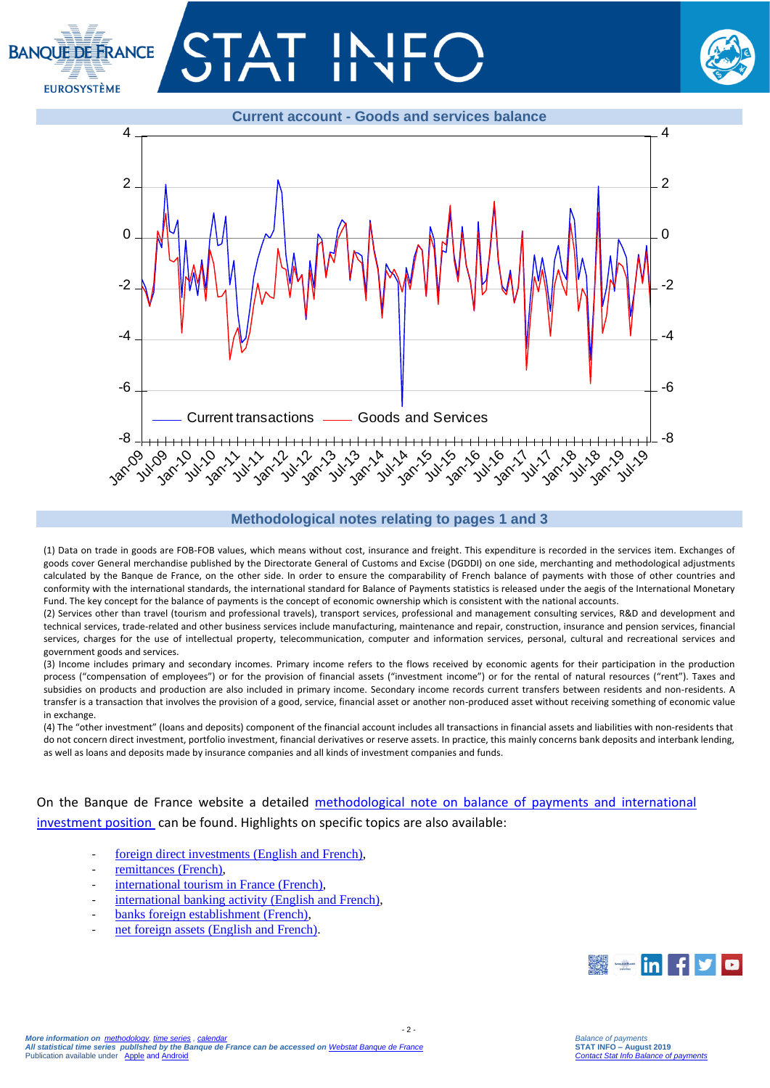





#### **Methodological notes relating to pages 1 and 3**

(1) Data on trade in goods are FOB-FOB values, which means without cost, insurance and freight. This expenditure is recorded in the services item. Exchanges of goods cover General merchandise published by the Directorate General of Customs and Excise (DGDDI) on one side, merchanting and methodological adjustments calculated by the Banque de France, on the other side. In order to ensure the comparability of French balance of payments with those of other countries and conformity with the international standards, the international standard for Balance of Payments statistics is released under the aegis of the International Monetary Fund. The key concept for the balance of payments is the concept of economic ownership which is consistent with the national accounts.

(2) Services other than travel (tourism and professional travels), transport services, professional and management consulting services, R&D and development and technical services, trade-related and other business services include manufacturing, maintenance and repair, construction, insurance and pension services, financial services, charges for the use of intellectual property, telecommunication, computer and information services, personal, cultural and recreational services and government goods and services.

(3) Income includes primary and secondary incomes. Primary income refers to the flows received by economic agents for their participation in the production process ("compensation of employees") or for the provision of financial assets ("investment income") or for the rental of natural resources ("rent"). Taxes and subsidies on products and production are also included in primary income. Secondary income records current transfers between residents and non-residents. A transfer is a transaction that involves the provision of a good, service, financial asset or another non-produced asset without receiving something of economic value in exchange.

(4) The "other investment" (loans and deposits) component of the financial account includes all transactions in financial assets and liabilities with non-residents that do not concern direct investment, portfolio investment, financial derivatives or reserve assets. In practice, this mainly concerns bank deposits and interbank lending, as well as loans and deposits made by insurance companies and all kinds of investment companies and funds.

 $-2 -$ 

On the Banque de France website a detailed [methodological note on balance of payments and international](https://www.banque-france.fr/sites/default/files/media/2016/11/16/bdp-gb-methodologie.pdf)  [investment position](https://www.banque-france.fr/sites/default/files/media/2016/11/16/bdp-gb-methodologie.pdf) can be found. Highlights on specific topics are also available:

- [foreign direct investments \(English and French\),](https://www.banque-france.fr/en/statistics/balance-payments/foreign-direct-investment)
- [remittances \(French\),](https://www.banque-france.fr/statistiques/balance-des-paiements/la-remuneration-des-salaries-et-les-envois-de-fonds-des-travailleurs)
- [international tourism in France](https://www.banque-france.fr/statistiques/balance-des-paiements/les-services-de-voyages) (French),
- [international banking activity \(English and French\),](https://www.banque-france.fr/en/statistics/balance-payments/international-banking-activity)
- banks foreign establishment (French).
- [net foreign assets \(English and French\).](https://www.banque-france.fr/en/statistics/balance-payments/net-foreign-assets)